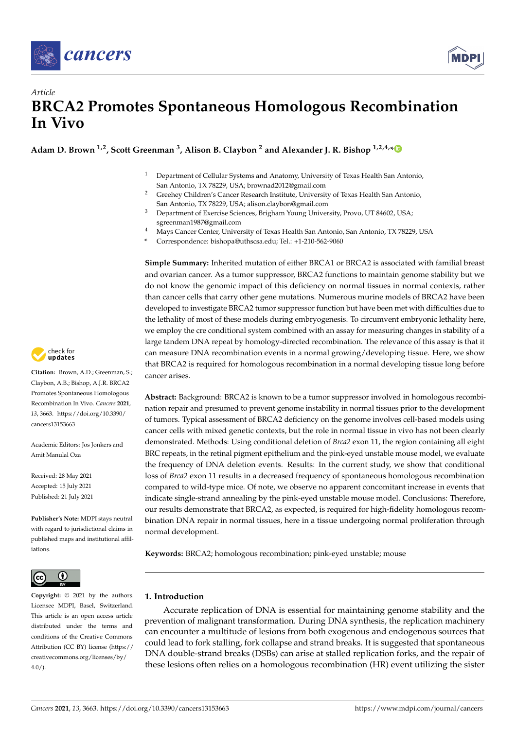



# *Article* **BRCA2 Promotes Spontaneous Homologous Recombination In Vivo**

**Adam D. Brown 1,2, Scott Greenman <sup>3</sup> , Alison B. Claybon <sup>2</sup> and Alexander J. R. Bishop 1,2,4,[\\*](https://orcid.org/0000-0002-5742-4387)**

- <sup>1</sup> Department of Cellular Systems and Anatomy, University of Texas Health San Antonio, San Antonio, TX 78229, USA; brownad2012@gmail.com
- <sup>2</sup> Greehey Children's Cancer Research Institute, University of Texas Health San Antonio, San Antonio, TX 78229, USA; alison.claybon@gmail.com
- <sup>3</sup> Department of Exercise Sciences, Brigham Young University, Provo, UT 84602, USA; sgreenman1987@gmail.com
- <sup>4</sup> Mays Cancer Center, University of Texas Health San Antonio, San Antonio, TX 78229, USA
- **\*** Correspondence: bishopa@uthscsa.edu; Tel.: +1-210-562-9060

**Simple Summary:** Inherited mutation of either BRCA1 or BRCA2 is associated with familial breast and ovarian cancer. As a tumor suppressor, BRCA2 functions to maintain genome stability but we do not know the genomic impact of this deficiency on normal tissues in normal contexts, rather than cancer cells that carry other gene mutations. Numerous murine models of BRCA2 have been developed to investigate BRCA2 tumor suppressor function but have been met with difficulties due to the lethality of most of these models during embryogenesis. To circumvent embryonic lethality here, we employ the cre conditional system combined with an assay for measuring changes in stability of a large tandem DNA repeat by homology-directed recombination. The relevance of this assay is that it can measure DNA recombination events in a normal growing/developing tissue. Here, we show that BRCA2 is required for homologous recombination in a normal developing tissue long before cancer arises.

**Abstract:** Background: BRCA2 is known to be a tumor suppressor involved in homologous recombination repair and presumed to prevent genome instability in normal tissues prior to the development of tumors. Typical assessment of BRCA2 deficiency on the genome involves cell-based models using cancer cells with mixed genetic contexts, but the role in normal tissue in vivo has not been clearly demonstrated. Methods: Using conditional deletion of *Brca2* exon 11, the region containing all eight BRC repeats, in the retinal pigment epithelium and the pink-eyed unstable mouse model, we evaluate the frequency of DNA deletion events. Results: In the current study, we show that conditional loss of *Brca2* exon 11 results in a decreased frequency of spontaneous homologous recombination compared to wild-type mice. Of note, we observe no apparent concomitant increase in events that indicate single-strand annealing by the pink-eyed unstable mouse model. Conclusions: Therefore, our results demonstrate that BRCA2, as expected, is required for high-fidelity homologous recombination DNA repair in normal tissues, here in a tissue undergoing normal proliferation through normal development.

**Keywords:** BRCA2; homologous recombination; pink-eyed unstable; mouse

#### **1. Introduction**

Accurate replication of DNA is essential for maintaining genome stability and the prevention of malignant transformation. During DNA synthesis, the replication machinery can encounter a multitude of lesions from both exogenous and endogenous sources that could lead to fork stalling, fork collapse and strand breaks. It is suggested that spontaneous DNA double-strand breaks (DSBs) can arise at stalled replication forks, and the repair of these lesions often relies on a homologous recombination (HR) event utilizing the sister



**Citation:** Brown, A.D.; Greenman, S.; Claybon, A.B.; Bishop, A.J.R. BRCA2 Promotes Spontaneous Homologous Recombination In Vivo. *Cancers* **2021**, *13*, 3663. [https://doi.org/10.3390/](https://doi.org/10.3390/cancers13153663) [cancers13153663](https://doi.org/10.3390/cancers13153663)

Academic Editors: Jos Jonkers and Amit Manulal Oza

Received: 28 May 2021 Accepted: 15 July 2021 Published: 21 July 2021

**Publisher's Note:** MDPI stays neutral with regard to jurisdictional claims in published maps and institutional affiliations.



**Copyright:** © 2021 by the authors. Licensee MDPI, Basel, Switzerland. This article is an open access article distributed under the terms and conditions of the Creative Commons Attribution (CC BY) license (https:/[/](https://creativecommons.org/licenses/by/4.0/) [creativecommons.org/licenses/by/](https://creativecommons.org/licenses/by/4.0/)  $4.0/$ ).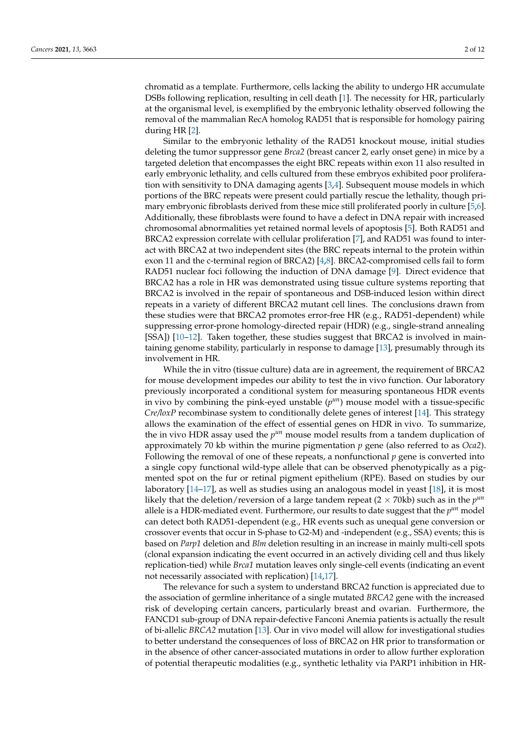chromatid as a template. Furthermore, cells lacking the ability to undergo HR accumulate DSBs following replication, resulting in cell death [\[1\]](#page-9-0). The necessity for HR, particularly at the organismal level, is exemplified by the embryonic lethality observed following the removal of the mammalian RecA homolog RAD51 that is responsible for homology pairing during HR [\[2\]](#page-9-1).

Similar to the embryonic lethality of the RAD51 knockout mouse, initial studies deleting the tumor suppressor gene *Brca2* (breast cancer 2, early onset gene) in mice by a targeted deletion that encompasses the eight BRC repeats within exon 11 also resulted in early embryonic lethality, and cells cultured from these embryos exhibited poor proliferation with sensitivity to DNA damaging agents [\[3,](#page-9-2)[4\]](#page-9-3). Subsequent mouse models in which portions of the BRC repeats were present could partially rescue the lethality, though primary embryonic fibroblasts derived from these mice still proliferated poorly in culture [\[5](#page-9-4)[,6\]](#page-10-0). Additionally, these fibroblasts were found to have a defect in DNA repair with increased chromosomal abnormalities yet retained normal levels of apoptosis [\[5\]](#page-9-4). Both RAD51 and BRCA2 expression correlate with cellular proliferation [\[7\]](#page-10-1), and RAD51 was found to interact with BRCA2 at two independent sites (the BRC repeats internal to the protein within exon 11 and the c-terminal region of BRCA2) [\[4](#page-9-3)[,8\]](#page-10-2). BRCA2-compromised cells fail to form RAD51 nuclear foci following the induction of DNA damage [\[9\]](#page-10-3). Direct evidence that BRCA2 has a role in HR was demonstrated using tissue culture systems reporting that BRCA2 is involved in the repair of spontaneous and DSB-induced lesion within direct repeats in a variety of different BRCA2 mutant cell lines. The conclusions drawn from these studies were that BRCA2 promotes error-free HR (e.g., RAD51-dependent) while suppressing error-prone homology-directed repair (HDR) (e.g., single-strand annealing [SSA]) [\[10–](#page-10-4)[12\]](#page-10-5). Taken together, these studies suggest that BRCA2 is involved in maintaining genome stability, particularly in response to damage [\[13\]](#page-10-6), presumably through its involvement in HR.

While the in vitro (tissue culture) data are in agreement, the requirement of BRCA2 for mouse development impedes our ability to test the in vivo function. Our laboratory previously incorporated a conditional system for measuring spontaneous HDR events in vivo by combining the pink-eyed unstable  $(p^{un})$  mouse model with a tissue-specific *Cre/loxP* recombinase system to conditionally delete genes of interest [\[14\]](#page-10-7). This strategy allows the examination of the effect of essential genes on HDR in vivo. To summarize, the in vivo HDR assay used the  $p^{\mu n}$  mouse model results from a tandem duplication of approximately 70 kb within the murine pigmentation *p* gene (also referred to as *Oca2*). Following the removal of one of these repeats, a nonfunctional *p* gene is converted into a single copy functional wild-type allele that can be observed phenotypically as a pigmented spot on the fur or retinal pigment epithelium (RPE). Based on studies by our laboratory [\[14–](#page-10-7)[17\]](#page-10-8), as well as studies using an analogous model in yeast [\[18\]](#page-10-9), it is most likely that the deletion/reversion of a large tandem repeat ( $2 \times 70$ kb) such as in the  $p^{un}$ allele is a HDR-mediated event. Furthermore, our results to date suggest that the *p un* model can detect both RAD51-dependent (e.g., HR events such as unequal gene conversion or crossover events that occur in S-phase to G2-M) and -independent (e.g., SSA) events; this is based on *Parp1* deletion and *Blm* deletion resulting in an increase in mainly multi-cell spots (clonal expansion indicating the event occurred in an actively dividing cell and thus likely replication-tied) while *Brca1* mutation leaves only single-cell events (indicating an event not necessarily associated with replication) [\[14](#page-10-7)[,17\]](#page-10-8).

The relevance for such a system to understand BRCA2 function is appreciated due to the association of germline inheritance of a single mutated *BRCA2* gene with the increased risk of developing certain cancers, particularly breast and ovarian. Furthermore, the FANCD1 sub-group of DNA repair-defective Fanconi Anemia patients is actually the result of bi-allelic *BRCA2* mutation [\[13\]](#page-10-6). Our in vivo model will allow for investigational studies to better understand the consequences of loss of BRCA2 on HR prior to transformation or in the absence of other cancer-associated mutations in order to allow further exploration of potential therapeutic modalities (e.g., synthetic lethality via PARP1 inhibition in HR-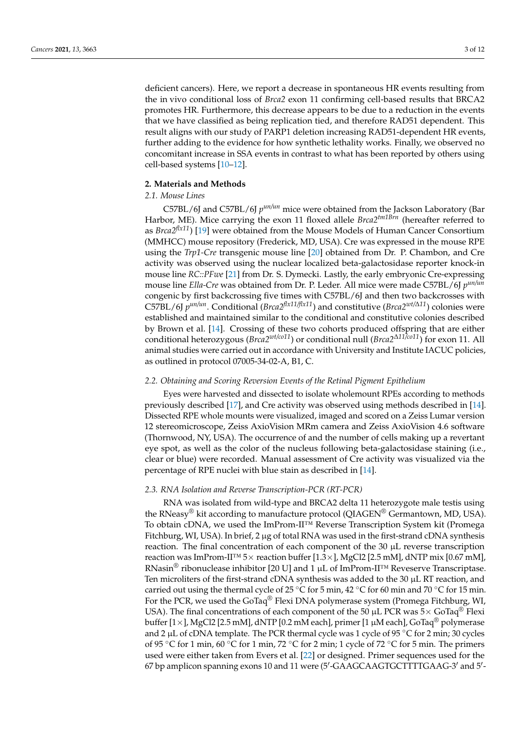deficient cancers). Here, we report a decrease in spontaneous HR events resulting from the in vivo conditional loss of *Brca2* exon 11 confirming cell-based results that BRCA2 promotes HR. Furthermore, this decrease appears to be due to a reduction in the events that we have classified as being replication tied, and therefore RAD51 dependent. This result aligns with our study of PARP1 deletion increasing RAD51-dependent HR events, further adding to the evidence for how synthetic lethality works. Finally, we observed no concomitant increase in SSA events in contrast to what has been reported by others using cell-based systems [\[10](#page-10-4)[–12\]](#page-10-5).

## **2. Materials and Methods**

## *2.1. Mouse Lines*

C57BL/6J and C57BL/6J  $p^{un/un}$  mice were obtained from the Jackson Laboratory (Bar Harbor, ME). Mice carrying the exon 11 floxed allele *Brca2tm1Brn* (hereafter referred to as *Brca2flx11*) [\[19\]](#page-10-10) were obtained from the Mouse Models of Human Cancer Consortium (MMHCC) mouse repository (Frederick, MD, USA). Cre was expressed in the mouse RPE using the *Trp1-Cre* transgenic mouse line [\[20\]](#page-10-11) obtained from Dr. P. Chambon, and Cre activity was observed using the nuclear localized beta-galactosidase reporter knock-in mouse line *RC::PFwe* [\[21\]](#page-10-12) from Dr. S. Dymecki. Lastly, the early embryonic Cre-expressing mouse line *Ella-Cre* was obtained from Dr. P. Leder. All mice were made C57BL/6J *p un/un* congenic by first backcrossing five times with C57BL/6J and then two backcrosses with C57BL/6J *p un/un*. Conditional (*Brca2flx11/flx11*) and constitutive (*Brca2wt/*∆*11*) colonies were established and maintained similar to the conditional and constitutive colonies described by Brown et al. [\[14\]](#page-10-7). Crossing of these two cohorts produced offspring that are either conditional heterozygous (*Brca2wt/co11*) or conditional null (*Brca2*∆*11/co11*) for exon 11. All animal studies were carried out in accordance with University and Institute IACUC policies, as outlined in protocol 07005-34-02-A, B1, C.

### *2.2. Obtaining and Scoring Reversion Events of the Retinal Pigment Epithelium*

Eyes were harvested and dissected to isolate wholemount RPEs according to methods previously described [\[17\]](#page-10-8), and Cre activity was observed using methods described in [\[14\]](#page-10-7). Dissected RPE whole mounts were visualized, imaged and scored on a Zeiss Lumar version 12 stereomicroscope, Zeiss AxioVision MRm camera and Zeiss AxioVision 4.6 software (Thornwood, NY, USA). The occurrence of and the number of cells making up a revertant eye spot, as well as the color of the nucleus following beta-galactosidase staining (i.e., clear or blue) were recorded. Manual assessment of Cre activity was visualized via the percentage of RPE nuclei with blue stain as described in [\[14\]](#page-10-7).

#### *2.3. RNA Isolation and Reverse Transcription-PCR (RT-PCR)*

RNA was isolated from wild-type and BRCA2 delta 11 heterozygote male testis using the RNeasy<sup>®</sup> kit according to manufacture protocol (QIAGEN<sup>®</sup> Germantown, MD, USA). To obtain cDNA, we used the ImProm-II™ Reverse Transcription System kit (Promega Fitchburg, WI, USA). In brief,  $2 \mu$ g of total RNA was used in the first-strand cDNA synthesis reaction. The final concentration of each component of the  $30 \mu$ L reverse transcription reaction was ImProm-II™ 5× reaction buffer [1.3×], MgCl2 [2.5 mM], dNTP mix [0.67 mM], RNasin<sup>®</sup> ribonuclease inhibitor [20 U] and 1  $\mu$ L of ImProm-II<sup>™</sup> Reveserve Transcriptase. Ten microliters of the first-strand cDNA synthesis was added to the  $30 \mu L RT$  reaction, and carried out using the thermal cycle of 25 °C for 5 min, 42 °C for 60 min and 70 °C for 15 min. For the PCR, we used the GoTaq® Flexi DNA polymerase system (Promega Fitchburg, WI, USA). The final concentrations of each component of the 50  $\mu$ L PCR was 5× GoTaq<sup>®</sup> Flexi buffer  $[1 \times]$ , MgCl2 [2.5 mM], dNTP [0.2 mM each], primer [1  $\mu$ M each], GoTaq<sup>®</sup> polymerase and 2  $\mu$ L of cDNA template. The PCR thermal cycle was 1 cycle of 95 °C for 2 min; 30 cycles of 95 °C for 1 min, 60 °C for 1 min, 72 °C for 2 min; 1 cycle of 72 °C for 5 min. The primers used were either taken from Evers et al. [\[22\]](#page-10-13) or designed. Primer sequences used for the 67 bp amplicon spanning exons 10 and 11 were (5'-GAAGCAAGTGCTTTTGAAG-3' and 5'-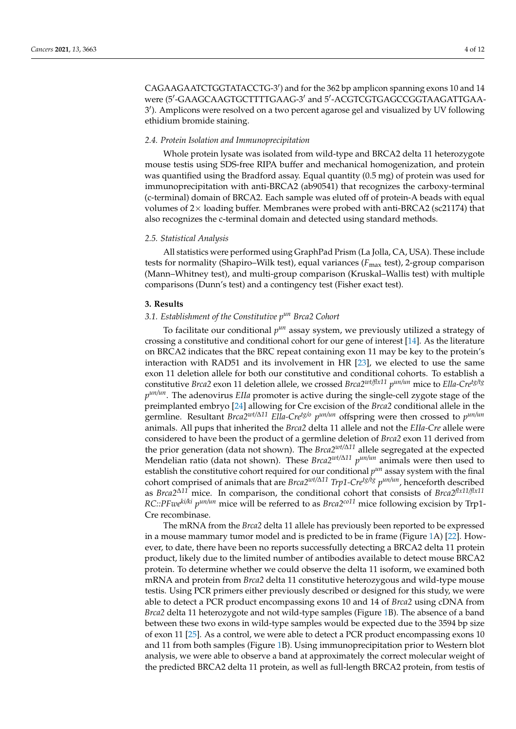CAGAAGAATCTGGTATACCTG-3') and for the 362 bp amplicon spanning exons 10 and 14 were (5'-GAAGCAAGTGCTTTTGAAG-3' and 5'-ACGTCGTGAGCCGGTAAGATTGAA-3 0 ). Amplicons were resolved on a two percent agarose gel and visualized by UV following ethidium bromide staining.

#### *2.4. Protein Isolation and Immunoprecipitation*

Whole protein lysate was isolated from wild-type and BRCA2 delta 11 heterozygote mouse testis using SDS-free RIPA buffer and mechanical homogenization, and protein was quantified using the Bradford assay. Equal quantity (0.5 mg) of protein was used for immunoprecipitation with anti-BRCA2 (ab90541) that recognizes the carboxy-terminal (c-terminal) domain of BRCA2. Each sample was eluted off of protein-A beads with equal volumes of  $2\times$  loading buffer. Membranes were probed with anti-BRCA2 (sc21174) that also recognizes the c-terminal domain and detected using standard methods.

#### *2.5. Statistical Analysis*

All statistics were performed using GraphPad Prism (La Jolla, CA, USA). These include tests for normality (Shapiro–Wilk test), equal variances ( $F_{\text{max}}$  test), 2-group comparison (Mann–Whitney test), and multi-group comparison (Kruskal–Wallis test) with multiple comparisons (Dunn's test) and a contingency test (Fisher exact test).

#### **3. Results**

## *3.1. Establishment of the Constitutive pun Brca2 Cohort*

To facilitate our conditional  $p^{un}$  assay system, we previously utilized a strategy of crossing a constitutive and conditional cohort for our gene of interest [\[14\]](#page-10-7). As the literature on BRCA2 indicates that the BRC repeat containing exon 11 may be key to the protein's interaction with RAD51 and its involvement in HR [\[23\]](#page-10-14), we elected to use the same exon 11 deletion allele for both our constitutive and conditional cohorts. To establish a constitutive *Brca2* exon 11 deletion allele, we crossed *Brca2wt/flx11 p un/un* mice to *Ella-Cretg/tg p un/un*. The adenovirus *EIIa* promoter is active during the single-cell zygote stage of the preimplanted embryo [\[24\]](#page-10-15) allowing for Cre excision of the *Brca2* conditional allele in the germline. Resultant *Brca2wt/*∆*<sup>11</sup> Ella-Cretg/o p un/un* offspring were then crossed to *p un/un* animals. All pups that inherited the *Brca2* delta 11 allele and not the *EIIa-Cre* allele were considered to have been the product of a germline deletion of *Brca2* exon 11 derived from the prior generation (data not shown). The *Brca2wt/*∆*<sup>11</sup>* allele segregated at the expected Mendelian ratio (data not shown). These *Brca2wt/*∆*<sup>11</sup> p un/un* animals were then used to establish the constitutive cohort required for our conditional  $p^{un}$  assay system with the final cohort comprised of animals that are *Brca2wt/*∆*<sup>11</sup> Trp1-Cretg/tg p un/un*, henceforth described as *Brca2*∆*<sup>11</sup>* mice. In comparison, the conditional cohort that consists of *Brca2flx11/flx11 RC::PFwe<sup>ki/ki</sup> p<sup>un/un</sup>* mice will be referred to as *Brca2<sup>co11</sup>* mice following excision by Trp1-Cre recombinase.

The mRNA from the *Brca2* delta 11 allele has previously been reported to be expressed in a mouse mammary tumor model and is predicted to be in frame (Figure [1A](#page-4-0)) [\[22\]](#page-10-13). However, to date, there have been no reports successfully detecting a BRCA2 delta 11 protein product, likely due to the limited number of antibodies available to detect mouse BRCA2 protein. To determine whether we could observe the delta 11 isoform, we examined both mRNA and protein from *Brca2* delta 11 constitutive heterozygous and wild-type mouse testis. Using PCR primers either previously described or designed for this study, we were able to detect a PCR product encompassing exons 10 and 14 of *Brca2* using cDNA from *Brca2* delta 11 heterozygote and not wild-type samples (Figure [1B](#page-4-0)). The absence of a band between these two exons in wild-type samples would be expected due to the 3594 bp size of exon 11 [\[25\]](#page-10-16). As a control, we were able to detect a PCR product encompassing exons 10 and 11 from both samples (Figure [1B](#page-4-0)). Using immunoprecipitation prior to Western blot analysis, we were able to observe a band at approximately the correct molecular weight of the predicted BRCA2 delta 11 protein, as well as full-length BRCA2 protein, from testis of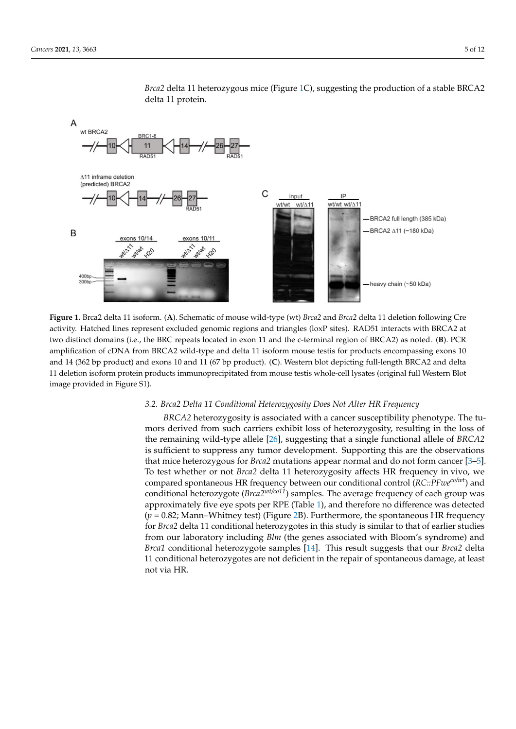<span id="page-4-0"></span>

*Brca2* delta 11 heterozygous mice (Figure [1C](#page-4-0)), suggesting the production of a stable BRCA2 delta 11 protein.

Figure 1. Brca2 delta 11 isoform. (A). Schematic of mouse wild-type (wt) Brca2 and Brca2 delta 11 deletion following Cre activity. Hatched lines represent excluded genomic regions and triangles (loxP sites). RAD51 interacts with BRCA2 at two distinct domains (i.e., the BRC repeats located in exon 11 and the c-terminal region of BRCA2) as noted. (B). PCR amplification of cDNA from BRCA2 wild-type and delta 11 isoform mouse testis for products encompassing exons 10 bp product) and exons 10 and 11 (67 bp product). (**C**). Western blot depicting full-length BRCA2 and delta 11 deletion and 14 (362 bp product) and exons 10 and 11 (67 bp product). (C). Western blot depicting full-length BRCA2 and delta<br>11 April 11 April 12 April 12 April 12 April 12 April 12 April 12 April 12 April 12 April 12 April 12 Apr 11 deletion isoform protein products immunoprecipitated from mouse testis whole-cell lysates (original full Western Blot<br>. image provided in Figure S1).

# *3.2. Brca2 Delta 11 Conditional Heterozygosity Does Not Alter HR Frequency 3.2. Brca2 Delta 11 Conditional Heterozygosity Does Not Alter HR Frequency*

*BRCA2* heterozygosity is associated with a cancer susceptibility phenotype. The tu-*BRCA2* heterozygosity is associated with a cancer susceptibility phenotype. The tumors derived from such carriers exhibit loss of heterozygosity, resulting in the loss of mors derived from such carriers exhibit loss of heterozygosity, resulting in the loss of remaining wild-type allele [26]**,** suggesting that a single functional allele of *BRCA2* is suf-the remaining wild-type allele [\[26\]](#page-10-17), suggesting that a single functional allele of *BRCA2* In the formalistic with the experiment of the contract microscopy of the microscopy of the suppress any tumor development. Supporting this are the observations heterozygous for *Brca2* mutations appear normal and do not form cancer [3–5]. To test that mice heterozygous for *Brca2* mutations appear normal and do not form cancer [\[3](#page-9-2)[–5\]](#page-9-4). To test whether or not *Brca2* delta 11 heterozygosity affects HR frequency in vivo, we spontaneous HR frequency between our conditional control (*RC::PFweco/wt*) and condi-compared spontaneous HR frequency between our conditional control (*RC::PFweco/wt*) and conditional heterozygote (*Brca*2<sup>*wt/co11*</sup>) samples. The average frequency of each group was approximately five eye spots per RPE (Table [1\)](#page-6-0), and therefore no difference was detected  $(p = 0.82;$  Mann–Whitney test) (Figure [2B](#page-5-0)). Furthermore, the spontaneous HR frequency *Brca2* delta 11 conditional heterozygotes in this study is similar to that of earlier studies for *Brca2* delta 11 conditional heterozygotes in this study is similar to that of earlier studies from our laboratory including *Blm* (the genes associated with Bloom's syndrome) and from our laboratory including *Blm* (the genes associated with Bloom's syndrome) and *Brca1* conditional heterozygote samples [\[14\]](#page-10-7). This result suggests that our *Brca2* delta conditional heterozygotes are not deficient in the repair of spontaneous damage, at least 11 conditional heterozygotes are not deficient in the repair of spontaneous damage, at least not via HR. not via HR.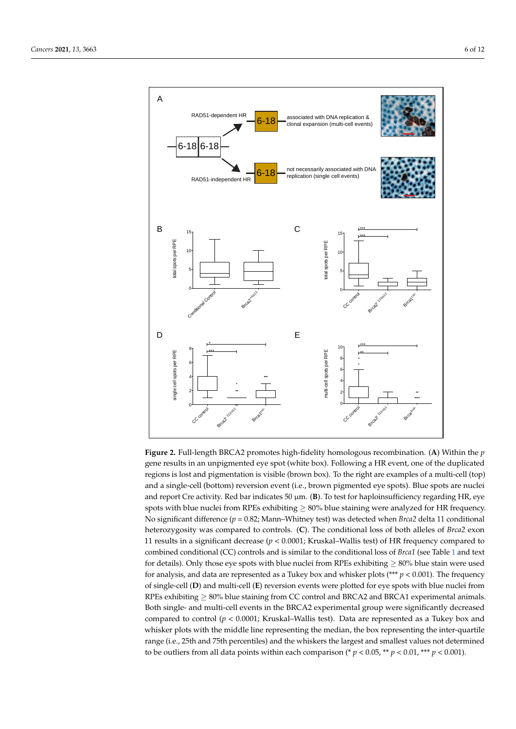<span id="page-5-0"></span>

*Brca2∆11/co11* 15 1.53

Figure 2. Full-length BRCA2 promotes high-fidelity homologous recombination. (A) Within the  $p$ gene results in an unpigmented executive production upon the duplicate box of the duplicated executive and dupl gene results in an unpigmented eye spot (white box). Following a HR event, one of the duplicated regions is lost and pigmentation is visible (brown box). To the right are examples of a multi-cell (top) and a single-cell (bottom) reversion event (i.e., brown pigmented eye spots). Blue spots are nuclei and report Cre activity. Red bar indicates 50 μm. (**B**). To test for haploinsufficiency regarding HR, eye spots with blue nuclei from RPEs exhibiting ≥ 80% blue staining were analyzed for HR frequency. No significant difference (*p* = 0.82; Mann–Whitney test) was detected when *Brca*2 delta 11 conditional heterozygosity was compared to controls. (**C**). The conditional loss of both alleles of *Brca2* exon 11 results in a significant decrease (*p* < 0.0001; Kruskal–Wallis test) of HR frequency compared to combined conditional (CC) controls and is similar to the conditional loss of *Brca1* (see Table [1](#page-6-0) and text for details). Only those eye spots with blue nuclei from RPEs exhibiting  $\geq 80\%$  blue stain were used for analysis, and data are represented as a Tukey box and whisker plots (\*\*\* *p* < 0.001). The frequency of single-cell (**D**) and multi-cell (**E**) reversion events were plotted for eye spots with blue nuclei from RPEs exhibiting  $\geq$  80% blue staining from CC control and BRCA2 and BRCA1 experimental animals. Both single- and multi-cell events in the BRCA2 experimental group were significantly decreased compared to control (*p* < 0.0001; Kruskal–Wallis test). Data are represented as a Tukey box and whisker plots with the middle line representing the median, the box representing the inter-quartile range (i.e., 25th and 75th percentiles) and the whiskers the largest and smallest values not determined to be outliers from all data points within each comparison (\*  $p < 0.05$ , \*\*  $p < 0.01$ , \*\*\*  $p < 0.001$ ).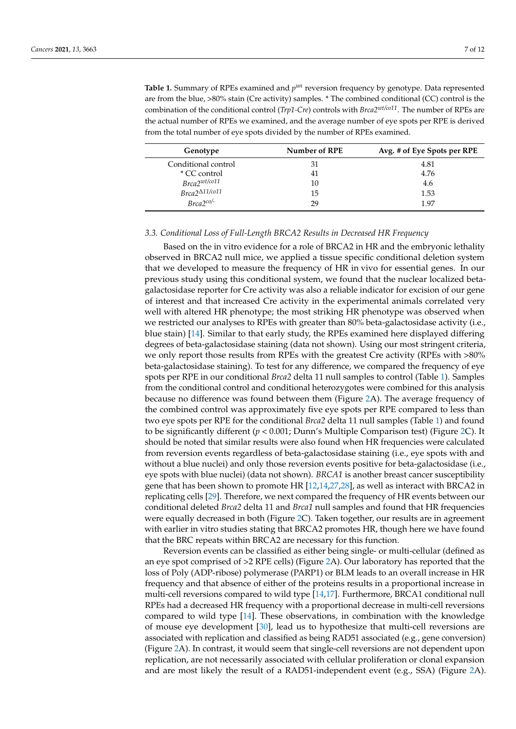<span id="page-6-0"></span>Table 1. Summary of RPEs examined and  $p^{un}$  reversion frequency by genotype. Data represented are from the blue, >80% stain (Cre activity) samples. \* The combined conditional (CC) control is the combination of the conditional control (*Trp1-Cre*) controls with *Brca2wt/co11*. The number of RPEs are the actual number of RPEs we examined, and the average number of eye spots per RPE is derived from the total number of eye spots divided by the number of RPEs examined.

| Genotype                 | Number of RPE | Avg. # of Eye Spots per RPE |
|--------------------------|---------------|-----------------------------|
| Conditional control      | 31            | 4.81                        |
| * CC control             | 41            | 4.76                        |
| $Brca2^{wt/co11}$        | 10            | 4.6                         |
| $Brca2^{\Delta 11/co11}$ | 15            | 1.53                        |
| $Brca2^{co/-}$           | 29            | 1.97                        |

#### *3.3. Conditional Loss of Full-Length BRCA2 Results in Decreased HR Frequency*

Based on the in vitro evidence for a role of BRCA2 in HR and the embryonic lethality observed in BRCA2 null mice, we applied a tissue specific conditional deletion system that we developed to measure the frequency of HR in vivo for essential genes. In our previous study using this conditional system, we found that the nuclear localized betagalactosidase reporter for Cre activity was also a reliable indicator for excision of our gene of interest and that increased Cre activity in the experimental animals correlated very well with altered HR phenotype; the most striking HR phenotype was observed when we restricted our analyses to RPEs with greater than 80% beta-galactosidase activity (i.e., blue stain) [\[14\]](#page-10-7). Similar to that early study, the RPEs examined here displayed differing degrees of beta-galactosidase staining (data not shown). Using our most stringent criteria, we only report those results from RPEs with the greatest Cre activity (RPEs with >80% beta-galactosidase staining). To test for any difference, we compared the frequency of eye spots per RPE in our conditional *Brca2* delta 11 null samples to control (Table [1\)](#page-6-0). Samples from the conditional control and conditional heterozygotes were combined for this analysis because no difference was found between them (Figure [2A](#page-5-0)). The average frequency of the combined control was approximately five eye spots per RPE compared to less than two eye spots per RPE for the conditional *Brca2* delta 11 null samples (Table [1\)](#page-6-0) and found to be significantly different (*p* < 0.001; Dunn's Multiple Comparison test) (Figure [2C](#page-5-0)). It should be noted that similar results were also found when HR frequencies were calculated from reversion events regardless of beta-galactosidase staining (i.e., eye spots with and without a blue nuclei) and only those reversion events positive for beta-galactosidase (i.e., eye spots with blue nuclei) (data not shown). *BRCA1* is another breast cancer susceptibility gene that has been shown to promote HR [\[12](#page-10-5)[,14](#page-10-7)[,27](#page-10-18)[,28\]](#page-10-19), as well as interact with BRCA2 in replicating cells [\[29\]](#page-10-20). Therefore, we next compared the frequency of HR events between our conditional deleted *Brca2* delta 11 and *Brca1* null samples and found that HR frequencies were equally decreased in both (Figure [2C](#page-5-0)). Taken together, our results are in agreement with earlier in vitro studies stating that BRCA2 promotes HR, though here we have found that the BRC repeats within BRCA2 are necessary for this function.

Reversion events can be classified as either being single- or multi-cellular (defined as an eye spot comprised of >2 RPE cells) (Figure [2A](#page-5-0)). Our laboratory has reported that the loss of Poly (ADP-ribose) polymerase (PARP1) or BLM leads to an overall increase in HR frequency and that absence of either of the proteins results in a proportional increase in multi-cell reversions compared to wild type [\[14,](#page-10-7)[17\]](#page-10-8). Furthermore, BRCA1 conditional null RPEs had a decreased HR frequency with a proportional decrease in multi-cell reversions compared to wild type [\[14\]](#page-10-7). These observations, in combination with the knowledge of mouse eye development [\[30\]](#page-10-21), lead us to hypothesize that multi-cell reversions are associated with replication and classified as being RAD51 associated (e.g., gene conversion) (Figure [2A](#page-5-0)). In contrast, it would seem that single-cell reversions are not dependent upon replication, are not necessarily associated with cellular proliferation or clonal expansion and are most likely the result of a RAD51-independent event (e.g., SSA) (Figure [2A](#page-5-0)).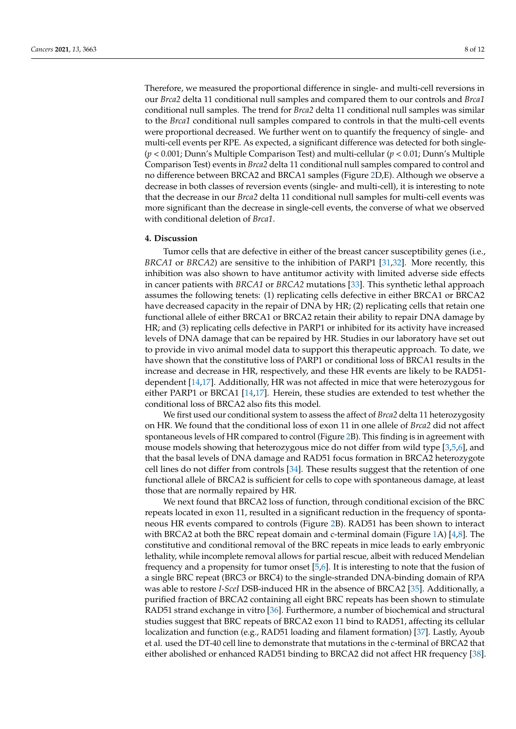Therefore, we measured the proportional difference in single- and multi-cell reversions in our *Brca2* delta 11 conditional null samples and compared them to our controls and *Brca1* conditional null samples. The trend for *Brca2* delta 11 conditional null samples was similar to the *Brca1* conditional null samples compared to controls in that the multi-cell events were proportional decreased. We further went on to quantify the frequency of single- and multi-cell events per RPE. As expected, a significant difference was detected for both single- (*p* < 0.001; Dunn's Multiple Comparison Test) and multi-cellular (*p* < 0.01; Dunn's Multiple Comparison Test) events in *Brca2* delta 11 conditional null samples compared to control and no difference between BRCA2 and BRCA1 samples (Figure [2D](#page-5-0),E). Although we observe a decrease in both classes of reversion events (single- and multi-cell), it is interesting to note that the decrease in our *Brca2* delta 11 conditional null samples for multi-cell events was more significant than the decrease in single-cell events, the converse of what we observed with conditional deletion of *Brca1*.

#### **4. Discussion**

Tumor cells that are defective in either of the breast cancer susceptibility genes (i.e., *BRCA1* or *BRCA2*) are sensitive to the inhibition of PARP1 [\[31](#page-10-22)[,32\]](#page-11-0). More recently, this inhibition was also shown to have antitumor activity with limited adverse side effects in cancer patients with *BRCA1* or *BRCA2* mutations [\[33\]](#page-11-1). This synthetic lethal approach assumes the following tenets: (1) replicating cells defective in either BRCA1 or BRCA2 have decreased capacity in the repair of DNA by HR; (2) replicating cells that retain one functional allele of either BRCA1 or BRCA2 retain their ability to repair DNA damage by HR; and (3) replicating cells defective in PARP1 or inhibited for its activity have increased levels of DNA damage that can be repaired by HR. Studies in our laboratory have set out to provide in vivo animal model data to support this therapeutic approach. To date, we have shown that the constitutive loss of PARP1 or conditional loss of BRCA1 results in the increase and decrease in HR, respectively, and these HR events are likely to be RAD51 dependent [\[14](#page-10-7)[,17\]](#page-10-8). Additionally, HR was not affected in mice that were heterozygous for either PARP1 or BRCA1 [\[14](#page-10-7)[,17\]](#page-10-8). Herein, these studies are extended to test whether the conditional loss of BRCA2 also fits this model.

We first used our conditional system to assess the affect of *Brca2* delta 11 heterozygosity on HR. We found that the conditional loss of exon 11 in one allele of *Brca2* did not affect spontaneous levels of HR compared to control (Figure [2B](#page-5-0)). This finding is in agreement with mouse models showing that heterozygous mice do not differ from wild type [\[3,](#page-9-2)[5](#page-9-4)[,6\]](#page-10-0), and that the basal levels of DNA damage and RAD51 focus formation in BRCA2 heterozygote cell lines do not differ from controls [\[34\]](#page-11-2). These results suggest that the retention of one functional allele of BRCA2 is sufficient for cells to cope with spontaneous damage, at least those that are normally repaired by HR.

We next found that BRCA2 loss of function, through conditional excision of the BRC repeats located in exon 11, resulted in a significant reduction in the frequency of spontaneous HR events compared to controls (Figure [2B](#page-5-0)). RAD51 has been shown to interact with BRCA2 at both the BRC repeat domain and c-terminal domain (Figure [1A](#page-4-0)) [\[4](#page-9-3)[,8\]](#page-10-2). The constitutive and conditional removal of the BRC repeats in mice leads to early embryonic lethality, while incomplete removal allows for partial rescue, albeit with reduced Mendelian frequency and a propensity for tumor onset [\[5](#page-9-4)[,6\]](#page-10-0). It is interesting to note that the fusion of a single BRC repeat (BRC3 or BRC4) to the single-stranded DNA-binding domain of RPA was able to restore *I-SceI* DSB-induced HR in the absence of BRCA2 [\[35\]](#page-11-3). Additionally, a purified fraction of BRCA2 containing all eight BRC repeats has been shown to stimulate RAD51 strand exchange in vitro [\[36\]](#page-11-4). Furthermore, a number of biochemical and structural studies suggest that BRC repeats of BRCA2 exon 11 bind to RAD51, affecting its cellular localization and function (e.g., RAD51 loading and filament formation) [\[37\]](#page-11-5). Lastly, Ayoub et al. used the DT-40 cell line to demonstrate that mutations in the c-terminal of BRCA2 that either abolished or enhanced RAD51 binding to BRCA2 did not affect HR frequency [\[38\]](#page-11-6).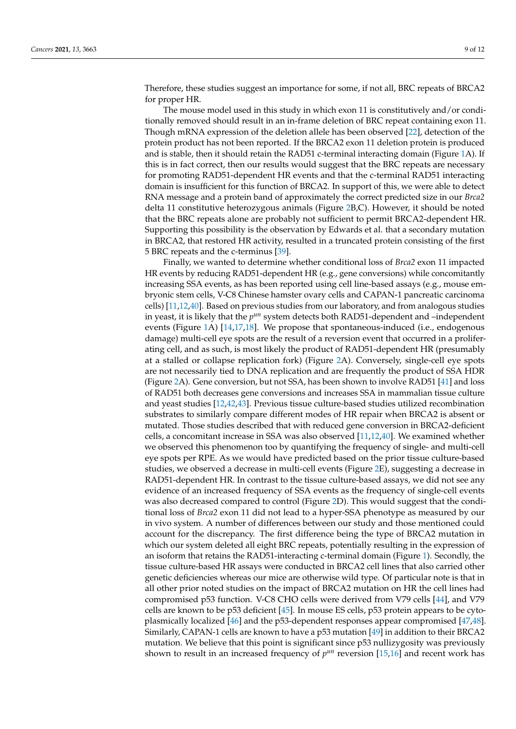Therefore, these studies suggest an importance for some, if not all, BRC repeats of BRCA2 for proper HR.

The mouse model used in this study in which exon 11 is constitutively and/or conditionally removed should result in an in-frame deletion of BRC repeat containing exon 11. Though mRNA expression of the deletion allele has been observed [\[22\]](#page-10-13), detection of the protein product has not been reported. If the BRCA2 exon 11 deletion protein is produced and is stable, then it should retain the RAD51 c-terminal interacting domain (Figure [1A](#page-4-0)). If this is in fact correct, then our results would suggest that the BRC repeats are necessary for promoting RAD51-dependent HR events and that the c-terminal RAD51 interacting domain is insufficient for this function of BRCA2. In support of this, we were able to detect RNA message and a protein band of approximately the correct predicted size in our *Brca2* delta 11 constitutive heterozygous animals (Figure [2B](#page-5-0),C). However, it should be noted that the BRC repeats alone are probably not sufficient to permit BRCA2-dependent HR. Supporting this possibility is the observation by Edwards et al. that a secondary mutation in BRCA2, that restored HR activity, resulted in a truncated protein consisting of the first 5 BRC repeats and the c-terminus [\[39\]](#page-11-7).

Finally, we wanted to determine whether conditional loss of *Brca2* exon 11 impacted HR events by reducing RAD51-dependent HR (e.g., gene conversions) while concomitantly increasing SSA events, as has been reported using cell line-based assays (e.g., mouse embryonic stem cells, V-C8 Chinese hamster ovary cells and CAPAN-1 pancreatic carcinoma cells) [\[11,](#page-10-23)[12](#page-10-5)[,40\]](#page-11-8). Based on previous studies from our laboratory, and from analogous studies in yeast, it is likely that the  $p^{\mu n}$  system detects both RAD51-dependent and -independent events (Figure [1A](#page-4-0)) [\[14,](#page-10-7)[17,](#page-10-8)[18\]](#page-10-9). We propose that spontaneous-induced (i.e., endogenous damage) multi-cell eye spots are the result of a reversion event that occurred in a proliferating cell, and as such, is most likely the product of RAD51-dependent HR (presumably at a stalled or collapse replication fork) (Figure [2A](#page-5-0)). Conversely, single-cell eye spots are not necessarily tied to DNA replication and are frequently the product of SSA HDR (Figure [2A](#page-5-0)). Gene conversion, but not SSA, has been shown to involve RAD51 [\[41\]](#page-11-9) and loss of RAD51 both decreases gene conversions and increases SSA in mammalian tissue culture and yeast studies [\[12](#page-10-5)[,42,](#page-11-10)[43\]](#page-11-11). Previous tissue culture-based studies utilized recombination substrates to similarly compare different modes of HR repair when BRCA2 is absent or mutated. Those studies described that with reduced gene conversion in BRCA2-deficient cells, a concomitant increase in SSA was also observed [\[11](#page-10-23)[,12](#page-10-5)[,40\]](#page-11-8). We examined whether we observed this phenomenon too by quantifying the frequency of single- and multi-cell eye spots per RPE. As we would have predicted based on the prior tissue culture-based studies, we observed a decrease in multi-cell events (Figure [2E](#page-5-0)), suggesting a decrease in RAD51-dependent HR. In contrast to the tissue culture-based assays, we did not see any evidence of an increased frequency of SSA events as the frequency of single-cell events was also decreased compared to control (Figure [2D](#page-5-0)). This would suggest that the conditional loss of *Brca2* exon 11 did not lead to a hyper-SSA phenotype as measured by our in vivo system. A number of differences between our study and those mentioned could account for the discrepancy. The first difference being the type of BRCA2 mutation in which our system deleted all eight BRC repeats, potentially resulting in the expression of an isoform that retains the RAD51-interacting c-terminal domain (Figure [1\)](#page-4-0). Secondly, the tissue culture-based HR assays were conducted in BRCA2 cell lines that also carried other genetic deficiencies whereas our mice are otherwise wild type. Of particular note is that in all other prior noted studies on the impact of BRCA2 mutation on HR the cell lines had compromised p53 function. V-C8 CHO cells were derived from V79 cells [\[44\]](#page-11-12), and V79 cells are known to be p53 deficient [\[45\]](#page-11-13). In mouse ES cells, p53 protein appears to be cytoplasmically localized [\[46\]](#page-11-14) and the p53-dependent responses appear compromised [\[47,](#page-11-15)[48\]](#page-11-16). Similarly, CAPAN-1 cells are known to have a p53 mutation [\[49\]](#page-11-17) in addition to their BRCA2 mutation. We believe that this point is significant since p53 nullizygosity was previously shown to result in an increased frequency of  $p^{\mu n}$  reversion [\[15,](#page-10-24)[16\]](#page-10-25) and recent work has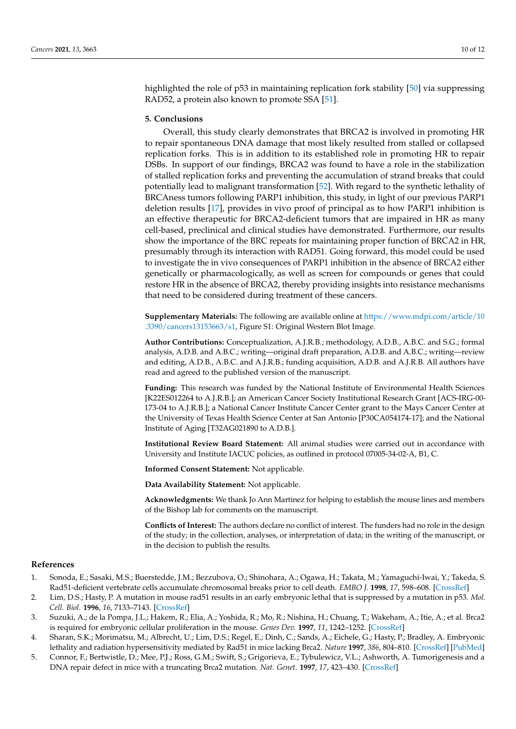highlighted the role of p53 in maintaining replication fork stability [\[50\]](#page-11-18) via suppressing RAD52, a protein also known to promote SSA [\[51\]](#page-11-19).

### **5. Conclusions**

Overall, this study clearly demonstrates that BRCA2 is involved in promoting HR to repair spontaneous DNA damage that most likely resulted from stalled or collapsed replication forks. This is in addition to its established role in promoting HR to repair DSBs. In support of our findings, BRCA2 was found to have a role in the stabilization of stalled replication forks and preventing the accumulation of strand breaks that could potentially lead to malignant transformation [\[52\]](#page-11-20). With regard to the synthetic lethality of BRCAness tumors following PARP1 inhibition, this study, in light of our previous PARP1 deletion results [\[17\]](#page-10-8), provides in vivo proof of principal as to how PARP1 inhibition is an effective therapeutic for BRCA2-deficient tumors that are impaired in HR as many cell-based, preclinical and clinical studies have demonstrated. Furthermore, our results show the importance of the BRC repeats for maintaining proper function of BRCA2 in HR, presumably through its interaction with RAD51. Going forward, this model could be used to investigate the in vivo consequences of PARP1 inhibition in the absence of BRCA2 either genetically or pharmacologically, as well as screen for compounds or genes that could restore HR in the absence of BRCA2, thereby providing insights into resistance mechanisms that need to be considered during treatment of these cancers.

**Supplementary Materials:** The following are available online at [https://www.mdpi.com/article/10](https://www.mdpi.com/article/10.3390/cancers13153663/s1) [.3390/cancers13153663/s1,](https://www.mdpi.com/article/10.3390/cancers13153663/s1) Figure S1: Original Western Blot Image.

**Author Contributions:** Conceptualization, A.J.R.B.; methodology, A.D.B., A.B.C. and S.G.; formal analysis, A.D.B. and A.B.C.; writing—original draft preparation, A.D.B. and A.B.C.; writing—review and editing, A.D.B., A.B.C. and A.J.R.B.; funding acquisition, A.D.B. and A.J.R.B. All authors have read and agreed to the published version of the manuscript.

**Funding:** This research was funded by the National Institute of Environmental Health Sciences [K22ES012264 to A.J.R.B.]; an American Cancer Society Institutional Research Grant [ACS-IRG-00- 173-04 to A.J.R.B.]; a National Cancer Institute Cancer Center grant to the Mays Cancer Center at the University of Texas Health Science Center at San Antonio [P30CA054174-17]; and the National Institute of Aging [T32AG021890 to A.D.B.].

**Institutional Review Board Statement:** All animal studies were carried out in accordance with University and Institute IACUC policies, as outlined in protocol 07005-34-02-A, B1, C.

**Informed Consent Statement:** Not applicable.

**Data Availability Statement:** Not applicable.

**Acknowledgments:** We thank Jo Ann Martinez for helping to establish the mouse lines and members of the Bishop lab for comments on the manuscript.

**Conflicts of Interest:** The authors declare no conflict of interest. The funders had no role in the design of the study; in the collection, analyses, or interpretation of data; in the writing of the manuscript, or in the decision to publish the results.

### **References**

- <span id="page-9-0"></span>1. Sonoda, E.; Sasaki, M.S.; Buerstedde, J.M.; Bezzubova, O.; Shinohara, A.; Ogawa, H.; Takata, M.; Yamaguchi-Iwai, Y.; Takeda, S. Rad51-deficient vertebrate cells accumulate chromosomal breaks prior to cell death. *EMBO J.* **1998**, *17*, 598–608. [\[CrossRef\]](http://doi.org/10.1093/emboj/17.2.598)
- <span id="page-9-1"></span>2. Lim, D.S.; Hasty, P. A mutation in mouse rad51 results in an early embryonic lethal that is suppressed by a mutation in p53. *Mol. Cell. Biol.* **1996**, *16*, 7133–7143. [\[CrossRef\]](http://doi.org/10.1128/MCB.16.12.7133)
- <span id="page-9-2"></span>3. Suzuki, A.; de la Pompa, J.L.; Hakem, R.; Elia, A.; Yoshida, R.; Mo, R.; Nishina, H.; Chuang, T.; Wakeham, A.; Itie, A.; et al. Brca2 is required for embryonic cellular proliferation in the mouse. *Genes Dev.* **1997**, *11*, 1242–1252. [\[CrossRef\]](http://doi.org/10.1101/gad.11.10.1242)
- <span id="page-9-3"></span>4. Sharan, S.K.; Morimatsu, M.; Albrecht, U.; Lim, D.S.; Regel, E.; Dinh, C.; Sands, A.; Eichele, G.; Hasty, P.; Bradley, A. Embryonic lethality and radiation hypersensitivity mediated by Rad51 in mice lacking Brca2. *Nature* **1997**, *386*, 804–810. [\[CrossRef\]](http://doi.org/10.1038/386804a0) [\[PubMed\]](http://www.ncbi.nlm.nih.gov/pubmed/9126738)
- <span id="page-9-4"></span>5. Connor, F.; Bertwistle, D.; Mee, P.J.; Ross, G.M.; Swift, S.; Grigorieva, E.; Tybulewicz, V.L.; Ashworth, A. Tumorigenesis and a DNA repair defect in mice with a truncating Brca2 mutation. *Nat. Genet.* **1997**, *17*, 423–430. [\[CrossRef\]](http://doi.org/10.1038/ng1297-423)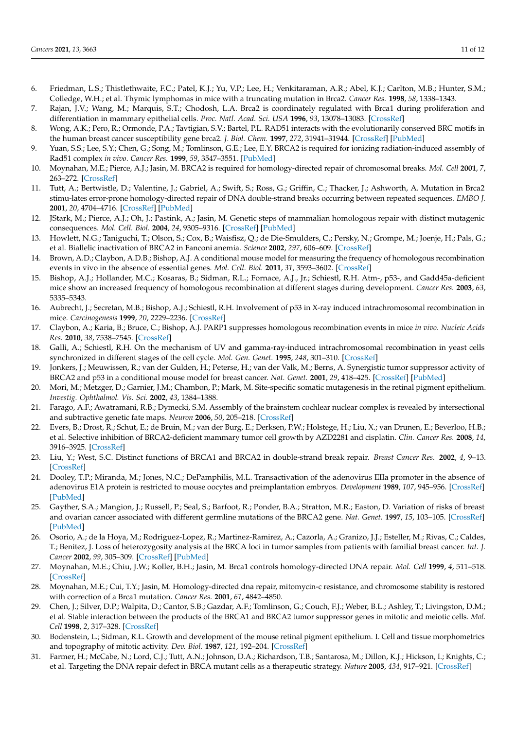- <span id="page-10-0"></span>6. Friedman, L.S.; Thistlethwaite, F.C.; Patel, K.J.; Yu, V.P.; Lee, H.; Venkitaraman, A.R.; Abel, K.J.; Carlton, M.B.; Hunter, S.M.; Colledge, W.H.; et al. Thymic lymphomas in mice with a truncating mutation in Brca2. *Cancer Res.* **1998**, *58*, 1338–1343.
- <span id="page-10-1"></span>7. Rajan, J.V.; Wang, M.; Marquis, S.T.; Chodosh, L.A. Brca2 is coordinately regulated with Brca1 during proliferation and differentiation in mammary epithelial cells. *Proc. Natl. Acad. Sci. USA* **1996**, *93*, 13078–13083. [\[CrossRef\]](http://doi.org/10.1073/pnas.93.23.13078)
- <span id="page-10-2"></span>8. Wong, A.K.; Pero, R.; Ormonde, P.A.; Tavtigian, S.V.; Bartel, P.L. RAD51 interacts with the evolutionarily conserved BRC motifs in the human breast cancer susceptibility gene brca2. *J. Biol. Chem.* **1997**, *272*, 31941–31944. [\[CrossRef\]](http://doi.org/10.1074/jbc.272.51.31941) [\[PubMed\]](http://www.ncbi.nlm.nih.gov/pubmed/9405383)
- <span id="page-10-3"></span>9. Yuan, S.S.; Lee, S.Y.; Chen, G.; Song, M.; Tomlinson, G.E.; Lee, E.Y. BRCA2 is required for ionizing radiation-induced assembly of Rad51 complex *in vivo*. *Cancer Res.* **1999**, *59*, 3547–3551. [\[PubMed\]](http://www.ncbi.nlm.nih.gov/pubmed/10446958)
- <span id="page-10-4"></span>10. Moynahan, M.E.; Pierce, A.J.; Jasin, M. BRCA2 is required for homology-directed repair of chromosomal breaks. *Mol. Cell* **2001**, *7*, 263–272. [\[CrossRef\]](http://doi.org/10.1016/S1097-2765(01)00174-5)
- <span id="page-10-23"></span>11. Tutt, A.; Bertwistle, D.; Valentine, J.; Gabriel, A.; Swift, S.; Ross, G.; Griffin, C.; Thacker, J.; Ashworth, A. Mutation in Brca2 stimu-lates error-prone homology-directed repair of DNA double-strand breaks occurring between repeated sequences. *EMBO J.* **2001**, *20*, 4704–4716. [\[CrossRef\]](http://doi.org/10.1093/emboj/20.17.4704) [\[PubMed\]](http://www.ncbi.nlm.nih.gov/pubmed/11532935)
- <span id="page-10-5"></span>12. JStark, M.; Pierce, A.J.; Oh, J.; Pastink, A.; Jasin, M. Genetic steps of mammalian homologous repair with distinct mutagenic consequences. *Mol. Cell. Biol.* **2004**, *24*, 9305–9316. [\[CrossRef\]](http://doi.org/10.1128/MCB.24.21.9305-9316.2004) [\[PubMed\]](http://www.ncbi.nlm.nih.gov/pubmed/15485900)
- <span id="page-10-6"></span>13. Howlett, N.G.; Taniguchi, T.; Olson, S.; Cox, B.; Waisfisz, Q.; de Die-Smulders, C.; Persky, N.; Grompe, M.; Joenje, H.; Pals, G.; et al. Biallelic inactivation of BRCA2 in Fanconi anemia. *Science* **2002**, *297*, 606–609. [\[CrossRef\]](http://doi.org/10.1126/science.1073834)
- <span id="page-10-7"></span>14. Brown, A.D.; Claybon, A.D.B.; Bishop, A.J. A conditional mouse model for measuring the frequency of homologous recombination events in vivo in the absence of essential genes. *Mol. Cell. Biol.* **2011**, *31*, 3593–3602. [\[CrossRef\]](http://doi.org/10.1128/MCB.00848-10)
- <span id="page-10-24"></span>15. Bishop, A.J.; Hollander, M.C.; Kosaras, B.; Sidman, R.L.; Fornace, A.J., Jr.; Schiestl, R.H. Atm-, p53-, and Gadd45a-deficient mice show an increased frequency of homologous recombination at different stages during development. *Cancer Res.* **2003**, *63*, 5335–5343.
- <span id="page-10-25"></span>16. Aubrecht, J.; Secretan, M.B.; Bishop, A.J.; Schiestl, R.H. Involvement of p53 in X-ray induced intrachromosomal recombination in mice. *Carcinogenesis* **1999**, *20*, 2229–2236. [\[CrossRef\]](http://doi.org/10.1093/carcin/20.12.2229)
- <span id="page-10-8"></span>17. Claybon, A.; Karia, B.; Bruce, C.; Bishop, A.J. PARP1 suppresses homologous recombination events in mice *in vivo*. *Nucleic Acids Res.* **2010**, *38*, 7538–7545. [\[CrossRef\]](http://doi.org/10.1093/nar/gkq624)
- <span id="page-10-9"></span>18. Galli, A.; Schiestl, R.H. On the mechanism of UV and gamma-ray-induced intrachromosomal recombination in yeast cells synchronized in different stages of the cell cycle. *Mol. Gen. Genet.* **1995**, *248*, 301–310. [\[CrossRef\]](http://doi.org/10.1007/BF02191597)
- <span id="page-10-10"></span>19. Jonkers, J.; Meuwissen, R.; van der Gulden, H.; Peterse, H.; van der Valk, M.; Berns, A. Synergistic tumor suppressor activity of BRCA2 and p53 in a conditional mouse model for breast cancer. *Nat. Genet.* **2001**, *29*, 418–425. [\[CrossRef\]](http://doi.org/10.1038/ng747) [\[PubMed\]](http://www.ncbi.nlm.nih.gov/pubmed/11694875)
- <span id="page-10-11"></span>20. Mori, M.; Metzger, D.; Garnier, J.M.; Chambon, P.; Mark, M. Site-specific somatic mutagenesis in the retinal pigment epithelium. *Investig. Ophthalmol. Vis. Sci.* **2002**, *43*, 1384–1388.
- <span id="page-10-12"></span>21. Farago, A.F.; Awatramani, R.B.; Dymecki, S.M. Assembly of the brainstem cochlear nuclear complex is revealed by intersectional and subtractive genetic fate maps. *Neuron* **2006**, *50*, 205–218. [\[CrossRef\]](http://doi.org/10.1016/j.neuron.2006.03.014)
- <span id="page-10-13"></span>22. Evers, B.; Drost, R.; Schut, E.; de Bruin, M.; van der Burg, E.; Derksen, P.W.; Holstege, H.; Liu, X.; van Drunen, E.; Beverloo, H.B.; et al. Selective inhibition of BRCA2-deficient mammary tumor cell growth by AZD2281 and cisplatin. *Clin. Cancer Res.* **2008**, *14*, 3916–3925. [\[CrossRef\]](http://doi.org/10.1158/1078-0432.CCR-07-4953)
- <span id="page-10-14"></span>23. Liu, Y.; West, S.C. Distinct functions of BRCA1 and BRCA2 in double-strand break repair. *Breast Cancer Res.* **2002**, *4*, 9–13. [\[CrossRef\]](http://doi.org/10.1186/bcr417)
- <span id="page-10-15"></span>24. Dooley, T.P.; Miranda, M.; Jones, N.C.; DePamphilis, M.L. Transactivation of the adenovirus EIIa promoter in the absence of adenovirus E1A protein is restricted to mouse oocytes and preimplantation embryos. *Development* **1989**, *107*, 945–956. [\[CrossRef\]](http://doi.org/10.1242/dev.107.4.945) [\[PubMed\]](http://www.ncbi.nlm.nih.gov/pubmed/2534379)
- <span id="page-10-16"></span>25. Gayther, S.A.; Mangion, J.; Russell, P.; Seal, S.; Barfoot, R.; Ponder, B.A.; Stratton, M.R.; Easton, D. Variation of risks of breast and ovarian cancer associated with different germline mutations of the BRCA2 gene. *Nat. Genet.* **1997**, *15*, 103–105. [\[CrossRef\]](http://doi.org/10.1038/ng0197-103) [\[PubMed\]](http://www.ncbi.nlm.nih.gov/pubmed/8988179)
- <span id="page-10-17"></span>26. Osorio, A.; de la Hoya, M.; Rodriguez-Lopez, R.; Martinez-Ramirez, A.; Cazorla, A.; Granizo, J.J.; Esteller, M.; Rivas, C.; Caldes, T.; Benitez, J. Loss of heterozygosity analysis at the BRCA loci in tumor samples from patients with familial breast cancer. *Int. J. Cancer* **2002**, *99*, 305–309. [\[CrossRef\]](http://doi.org/10.1002/ijc.10337) [\[PubMed\]](http://www.ncbi.nlm.nih.gov/pubmed/11979449)
- <span id="page-10-18"></span>27. Moynahan, M.E.; Chiu, J.W.; Koller, B.H.; Jasin, M. Brca1 controls homology-directed DNA repair. *Mol. Cell* **1999**, *4*, 511–518. [\[CrossRef\]](http://doi.org/10.1016/S1097-2765(00)80202-6)
- <span id="page-10-19"></span>28. Moynahan, M.E.; Cui, T.Y.; Jasin, M. Homology-directed dna repair, mitomycin-c resistance, and chromosome stability is restored with correction of a Brca1 mutation. *Cancer Res.* **2001**, *61*, 4842–4850.
- <span id="page-10-20"></span>29. Chen, J.; Silver, D.P.; Walpita, D.; Cantor, S.B.; Gazdar, A.F.; Tomlinson, G.; Couch, F.J.; Weber, B.L.; Ashley, T.; Livingston, D.M.; et al. Stable interaction between the products of the BRCA1 and BRCA2 tumor suppressor genes in mitotic and meiotic cells. *Mol. Cell* **1998**, *2*, 317–328. [\[CrossRef\]](http://doi.org/10.1016/S1097-2765(00)80276-2)
- <span id="page-10-21"></span>30. Bodenstein, L.; Sidman, R.L. Growth and development of the mouse retinal pigment epithelium. I. Cell and tissue morphometrics and topography of mitotic activity. *Dev. Biol.* **1987**, *121*, 192–204. [\[CrossRef\]](http://doi.org/10.1016/0012-1606(87)90152-7)
- <span id="page-10-22"></span>31. Farmer, H.; McCabe, N.; Lord, C.J.; Tutt, A.N.; Johnson, D.A.; Richardson, T.B.; Santarosa, M.; Dillon, K.J.; Hickson, I.; Knights, C.; et al. Targeting the DNA repair defect in BRCA mutant cells as a therapeutic strategy. *Nature* **2005**, *434*, 917–921. [\[CrossRef\]](http://doi.org/10.1038/nature03445)